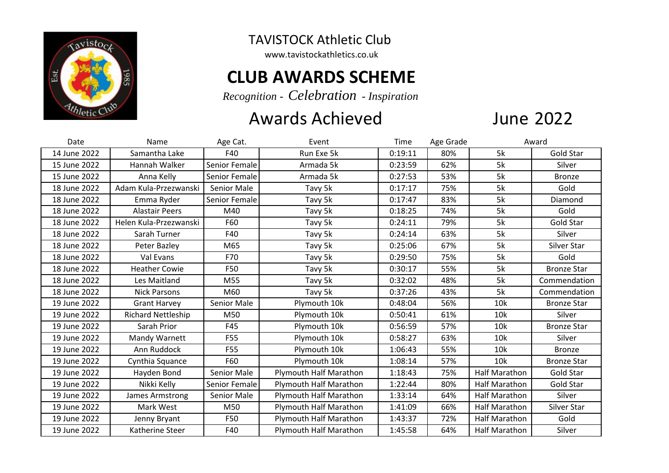

TAVISTOCK Athletic Club

www.tavistockathletics.co.uk

## **CLUB AWARDS SCHEME**

*Recognition - Celebration - Inspiration*

## Awards Achieved

## **June 2022**

| Date         | Name                      | Age Cat.      | Event                         | Time    | Age Grade | Award                |                    |
|--------------|---------------------------|---------------|-------------------------------|---------|-----------|----------------------|--------------------|
| 14 June 2022 | Samantha Lake             | F40           | Run Exe 5k                    | 0:19:11 | 80%       | 5k                   | Gold Star          |
| 15 June 2022 | Hannah Walker             | Senior Female | Armada 5k                     | 0:23:59 | 62%       | 5k                   | Silver             |
| 15 June 2022 | Anna Kelly                | Senior Female | Armada 5k                     | 0:27:53 | 53%       | 5k                   | <b>Bronze</b>      |
| 18 June 2022 | Adam Kula-Przezwanski     | Senior Male   | Tavy 5k                       | 0:17:17 | 75%       | 5k                   | Gold               |
| 18 June 2022 | Emma Ryder                | Senior Female | Tavy 5k                       | 0:17:47 | 83%       | 5k                   | Diamond            |
| 18 June 2022 | <b>Alastair Peers</b>     | M40           | Tavy 5k                       | 0:18:25 | 74%       | 5k                   | Gold               |
| 18 June 2022 | Helen Kula-Przezwanski    | F60           | Tavy 5k                       | 0:24:11 | 79%       | 5k                   | Gold Star          |
| 18 June 2022 | Sarah Turner              | F40           | Tavy 5k                       | 0:24:14 | 63%       | 5k                   | Silver             |
| 18 June 2022 | Peter Bazley              | M65           | Tavy 5k                       | 0:25:06 | 67%       | 5k                   | Silver Star        |
| 18 June 2022 | Val Evans                 | F70           | Tavy 5k                       | 0:29:50 | 75%       | 5k                   | Gold               |
| 18 June 2022 | <b>Heather Cowie</b>      | F50           | Tavy 5k                       | 0:30:17 | 55%       | 5k                   | <b>Bronze Star</b> |
| 18 June 2022 | Les Maitland              | M55           | Tavy 5k                       | 0:32:02 | 48%       | 5k                   | Commendation       |
| 18 June 2022 | <b>Nick Parsons</b>       | M60           | Tavy 5k                       | 0:37:26 | 43%       | 5k                   | Commendation       |
| 19 June 2022 | <b>Grant Harvey</b>       | Senior Male   | Plymouth 10k                  | 0:48:04 | 56%       | 10k                  | <b>Bronze Star</b> |
| 19 June 2022 | <b>Richard Nettleship</b> | M50           | Plymouth 10k                  | 0:50:41 | 61%       | 10k                  | Silver             |
| 19 June 2022 | Sarah Prior               | F45           | Plymouth 10k                  | 0:56:59 | 57%       | 10k                  | <b>Bronze Star</b> |
| 19 June 2022 | Mandy Warnett             | F55           | Plymouth 10k                  | 0:58:27 | 63%       | 10k                  | Silver             |
| 19 June 2022 | Ann Ruddock               | <b>F55</b>    | Plymouth 10k                  | 1:06:43 | 55%       | 10k                  | <b>Bronze</b>      |
| 19 June 2022 | Cynthia Squance           | F60           | Plymouth 10k                  | 1:08:14 | 57%       | 10k                  | <b>Bronze Star</b> |
| 19 June 2022 | Hayden Bond               | Senior Male   | Plymouth Half Marathon        | 1:18:43 | 75%       | <b>Half Marathon</b> | Gold Star          |
| 19 June 2022 | Nikki Kelly               | Senior Female | <b>Plymouth Half Marathon</b> | 1:22:44 | 80%       | Half Marathon        | Gold Star          |
| 19 June 2022 | James Armstrong           | Senior Male   | <b>Plymouth Half Marathon</b> | 1:33:14 | 64%       | Half Marathon        | Silver             |
| 19 June 2022 | Mark West                 | M50           | <b>Plymouth Half Marathon</b> | 1:41:09 | 66%       | <b>Half Marathon</b> | Silver Star        |
| 19 June 2022 | Jenny Bryant              | F50           | <b>Plymouth Half Marathon</b> | 1:43:37 | 72%       | <b>Half Marathon</b> | Gold               |
| 19 June 2022 | Katherine Steer           | F40           | <b>Plymouth Half Marathon</b> | 1:45:58 | 64%       | Half Marathon        | Silver             |